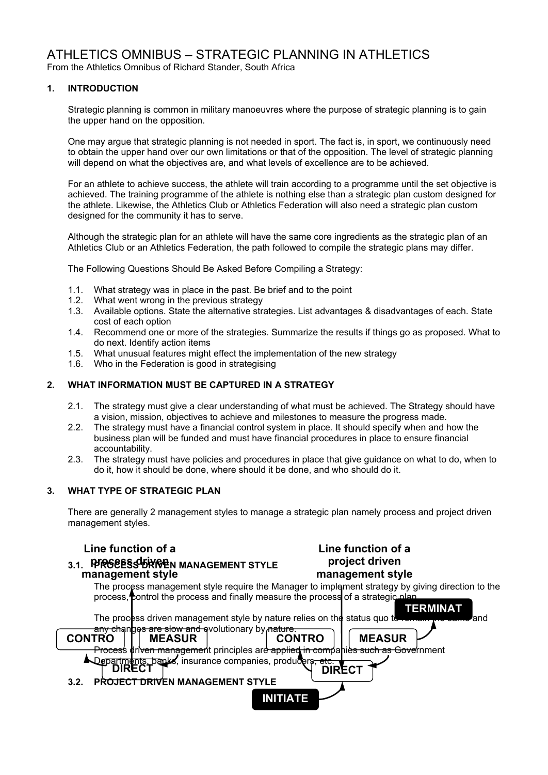# ATHLETICS OMNIBUS – STRATEGIC PLANNING IN ATHLETICS

From the Athletics Omnibus of Richard Stander, South Africa

## **1. INTRODUCTION**

Strategic planning is common in military manoeuvres where the purpose of strategic planning is to gain the upper hand on the opposition.

One may argue that strategic planning is not needed in sport. The fact is, in sport, we continuously need to obtain the upper hand over our own limitations or that of the opposition. The level of strategic planning will depend on what the objectives are, and what levels of excellence are to be achieved.

For an athlete to achieve success, the athlete will train according to a programme until the set objective is achieved. The training programme of the athlete is nothing else than a strategic plan custom designed for the athlete. Likewise, the Athletics Club or Athletics Federation will also need a strategic plan custom designed for the community it has to serve.

Although the strategic plan for an athlete will have the same core ingredients as the strategic plan of an Athletics Club or an Athletics Federation, the path followed to compile the strategic plans may differ.

The Following Questions Should Be Asked Before Compiling a Strategy:

- 1.1. What strategy was in place in the past. Be brief and to the point
- 1.2. What went wrong in the previous strategy
- 1.3. Available options. State the alternative strategies. List advantages & disadvantages of each. State cost of each option
- 1.4. Recommend one or more of the strategies. Summarize the results if things go as proposed. What to do next. Identify action items
- 1.5. What unusual features might effect the implementation of the new strategy
- 1.6. Who in the Federation is good in strategising

## **2. WHAT INFORMATION MUST BE CAPTURED IN A STRATEGY**

- 2.1. The strategy must give a clear understanding of what must be achieved. The Strategy should have a vision, mission, objectives to achieve and milestones to measure the progress made.
- 2.2. The strategy must have a financial control system in place. It should specify when and how the business plan will be funded and must have financial procedures in place to ensure financial accountability.
- 2.3. The strategy must have policies and procedures in place that give guidance on what to do, when to do it, how it should be done, where should it be done, and who should do it.

#### **3. WHAT TYPE OF STRATEGIC PLAN**

There are generally 2 management styles to manage a strategic plan namely process and project driven management styles.

## **Line function of a**

## 3.1. PFRGEESS BRYGEN MANAGEMENT STYLE **project drive management style**

## **Line function of a project driven management style**

The process management style require the Manager to implement strategy by giving direction to the process, control the process and finally measure the process of a strategic plan

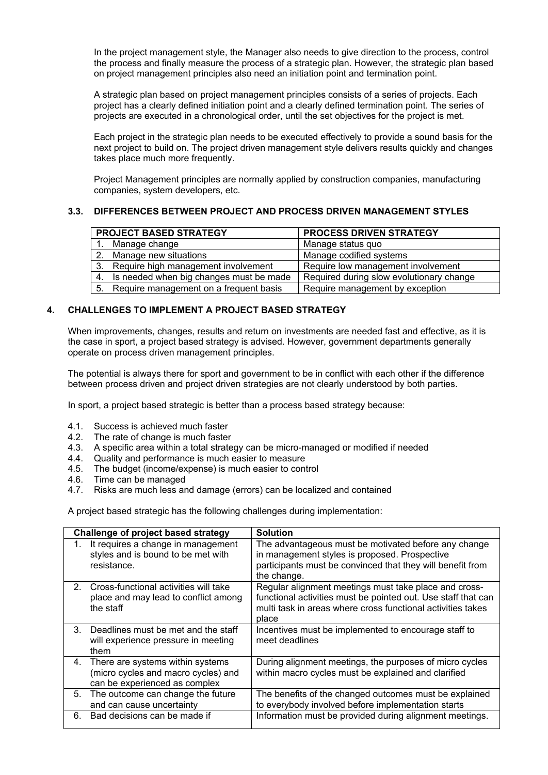In the project management style, the Manager also needs to give direction to the process, control the process and finally measure the process of a strategic plan. However, the strategic plan based on project management principles also need an initiation point and termination point.

A strategic plan based on project management principles consists of a series of projects. Each project has a clearly defined initiation point and a clearly defined termination point. The series of projects are executed in a chronological order, until the set objectives for the project is met.

Each project in the strategic plan needs to be executed effectively to provide a sound basis for the next project to build on. The project driven management style delivers results quickly and changes takes place much more frequently.

Project Management principles are normally applied by construction companies, manufacturing companies, system developers, etc.

#### **3.3. DIFFERENCES BETWEEN PROJECT AND PROCESS DRIVEN MANAGEMENT STYLES**

| <b>PROJECT BASED STRATEGY</b>              | <b>PROCESS DRIVEN STRATEGY</b>           |
|--------------------------------------------|------------------------------------------|
| Manage change                              | Manage status quo                        |
| 2. Manage new situations                   | Manage codified systems                  |
| 3. Require high management involvement     | Require low management involvement       |
| 4. Is needed when big changes must be made | Required during slow evolutionary change |
| 5. Require management on a frequent basis  | Require management by exception          |

#### **4. CHALLENGES TO IMPLEMENT A PROJECT BASED STRATEGY**

When improvements, changes, results and return on investments are needed fast and effective, as it is the case in sport, a project based strategy is advised. However, government departments generally operate on process driven management principles.

The potential is always there for sport and government to be in conflict with each other if the difference between process driven and project driven strategies are not clearly understood by both parties.

In sport, a project based strategic is better than a process based strategy because:

- 4.1. Success is achieved much faster
- 4.2. The rate of change is much faster
- 4.3. A specific area within a total strategy can be micro-managed or modified if needed
- 4.4. Quality and performance is much easier to measure
- 4.5. The budget (income/expense) is much easier to control
- 4.6. Time can be managed<br>4.7. Risks are much less are
- 4.7. Risks are much less and damage (errors) can be localized and contained

A project based strategic has the following challenges during implementation:

|               | <b>Challenge of project based strategy</b>                                                                  | <b>Solution</b>                                                                                                                                                                                |
|---------------|-------------------------------------------------------------------------------------------------------------|------------------------------------------------------------------------------------------------------------------------------------------------------------------------------------------------|
|               | It requires a change in management<br>styles and is bound to be met with<br>resistance.                     | The advantageous must be motivated before any change<br>in management styles is proposed. Prospective<br>participants must be convinced that they will benefit from<br>the change.             |
| $2^{\circ}$   | Cross-functional activities will take<br>place and may lead to conflict among<br>the staff                  | Regular alignment meetings must take place and cross-<br>functional activities must be pointed out. Use staff that can<br>multi task in areas where cross functional activities takes<br>place |
| $\mathcal{S}$ | Deadlines must be met and the staff<br>will experience pressure in meeting<br>them                          | Incentives must be implemented to encourage staff to<br>meet deadlines                                                                                                                         |
|               | 4. There are systems within systems<br>(micro cycles and macro cycles) and<br>can be experienced as complex | During alignment meetings, the purposes of micro cycles<br>within macro cycles must be explained and clarified                                                                                 |
| 5.            | The outcome can change the future<br>and can cause uncertainty                                              | The benefits of the changed outcomes must be explained<br>to everybody involved before implementation starts                                                                                   |
| 6.            | Bad decisions can be made if                                                                                | Information must be provided during alignment meetings.                                                                                                                                        |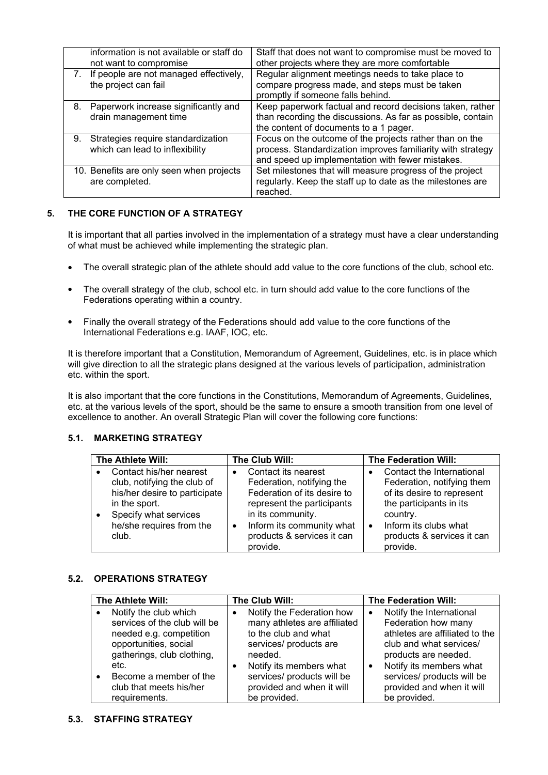|    | information is not available or staff do<br>not want to compromise    | Staff that does not want to compromise must be moved to<br>other projects where they are more comfortable                                                                  |
|----|-----------------------------------------------------------------------|----------------------------------------------------------------------------------------------------------------------------------------------------------------------------|
|    | If people are not managed effectively,<br>the project can fail        | Regular alignment meetings needs to take place to<br>compare progress made, and steps must be taken<br>promptly if someone falls behind.                                   |
| 8. | Paperwork increase significantly and<br>drain management time         | Keep paperwork factual and record decisions taken, rather<br>than recording the discussions. As far as possible, contain<br>the content of documents to a 1 pager.         |
| 9. | Strategies require standardization<br>which can lead to inflexibility | Focus on the outcome of the projects rather than on the<br>process. Standardization improves familiarity with strategy<br>and speed up implementation with fewer mistakes. |
|    | 10. Benefits are only seen when projects<br>are completed.            | Set milestones that will measure progress of the project<br>regularly. Keep the staff up to date as the milestones are<br>reached.                                         |

## **5. THE CORE FUNCTION OF A STRATEGY**

It is important that all parties involved in the implementation of a strategy must have a clear understanding of what must be achieved while implementing the strategic plan.

- The overall strategic plan of the athlete should add value to the core functions of the club, school etc.
- The overall strategy of the club, school etc. in turn should add value to the core functions of the Federations operating within a country.
- Finally the overall strategy of the Federations should add value to the core functions of the International Federations e.g. IAAF, IOC, etc.

It is therefore important that a Constitution, Memorandum of Agreement, Guidelines, etc. is in place which will give direction to all the strategic plans designed at the various levels of participation, administration etc. within the sport.

It is also important that the core functions in the Constitutions, Memorandum of Agreements, Guidelines, etc. at the various levels of the sport, should be the same to ensure a smooth transition from one level of excellence to another. An overall Strategic Plan will cover the following core functions:

#### **5.1. MARKETING STRATEGY**

| The Athlete Will:                                      | The Club Will:                                                       |           | <b>The Federation Will:</b>                             |
|--------------------------------------------------------|----------------------------------------------------------------------|-----------|---------------------------------------------------------|
| Contact his/her nearest<br>club, notifying the club of | Contact its nearest<br>Federation, notifying the                     |           | Contact the International<br>Federation, notifying them |
| his/her desire to participate                          | Federation of its desire to                                          |           | of its desire to represent                              |
| in the sport.<br>Specify what services                 | represent the participants<br>in its community.                      |           | the participants in its<br>country.                     |
| he/she requires from the<br>club.                      | Inform its community what<br>$\bullet$<br>products & services it can | $\bullet$ | Inform its clubs what<br>products & services it can     |
|                                                        | provide.                                                             |           | provide.                                                |

#### **5.2. OPERATIONS STRATEGY**

| The Athlete Will:                                                                                         | The Club Will:                                                                                                           | The Federation Will:                                                                                                                    |
|-----------------------------------------------------------------------------------------------------------|--------------------------------------------------------------------------------------------------------------------------|-----------------------------------------------------------------------------------------------------------------------------------------|
| Notify the club which<br>services of the club will be<br>needed e.g. competition<br>opportunities, social | Notify the Federation how<br>$\bullet$<br>many athletes are affiliated<br>to the club and what<br>services/ products are | Notify the International<br>٠<br>Federation how many<br>athletes are affiliated to the<br>club and what services/                       |
| gatherings, club clothing,<br>etc.<br>Become a member of the<br>club that meets his/her<br>requirements.  | needed.<br>Notify its members what<br>services/ products will be<br>provided and when it will<br>be provided.            | products are needed.<br>Notify its members what<br>$\bullet$<br>services/ products will be<br>provided and when it will<br>be provided. |

#### **5.3. STAFFING STRATEGY**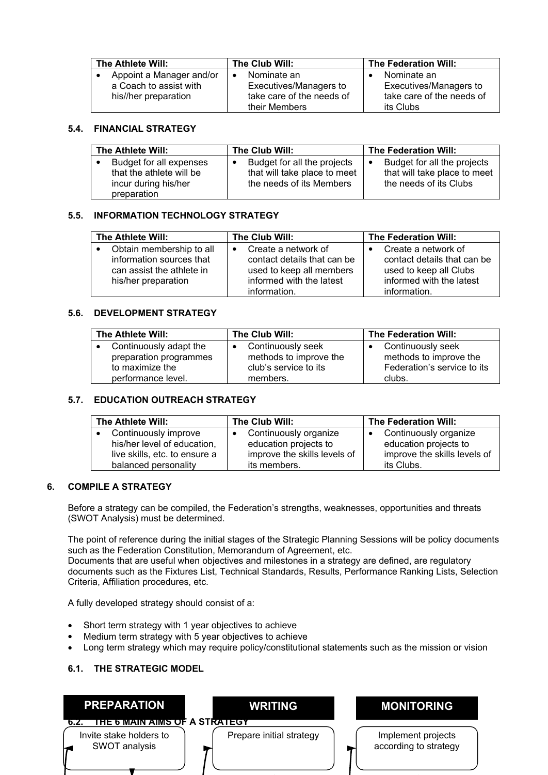| The Athlete Will:        | The Club Will:            | The Federation Will:      |
|--------------------------|---------------------------|---------------------------|
| Appoint a Manager and/or | Nominate an               | Nominate an               |
| a Coach to assist with   | Executives/Managers to    | Executives/Managers to    |
| his//her preparation     | take care of the needs of | take care of the needs of |
|                          | their Members             | its Clubs                 |

## **5.4. FINANCIAL STRATEGY**

| The Athlete Will:                                                                          | The Club Will:                                                                          | The Federation Will:                                                                  |
|--------------------------------------------------------------------------------------------|-----------------------------------------------------------------------------------------|---------------------------------------------------------------------------------------|
| Budget for all expenses<br>that the athlete will be<br>incur during his/her<br>preparation | Budget for all the projects<br>that will take place to meet<br>the needs of its Members | Budget for all the projects<br>that will take place to meet<br>the needs of its Clubs |

## **5.5. INFORMATION TECHNOLOGY STRATEGY**

| The Athlete Will:                                                                                        | The Club Will:                                                                                                                          | The Federation Will:                                                                                                     |
|----------------------------------------------------------------------------------------------------------|-----------------------------------------------------------------------------------------------------------------------------------------|--------------------------------------------------------------------------------------------------------------------------|
| Obtain membership to all<br>information sources that<br>can assist the athlete in<br>his/her preparation | Create a network of<br>$\bullet$<br>contact details that can be<br>used to keep all members<br>informed with the latest<br>information. | Create a network of<br>contact details that can be<br>used to keep all Clubs<br>informed with the latest<br>information. |

#### **5.6. DEVELOPMENT STRATEGY**

| The Athlete Will:      | The Club Will:         | The Federation Will:        |
|------------------------|------------------------|-----------------------------|
| Continuously adapt the | Continuously seek<br>٠ | Continuously seek           |
| preparation programmes | methods to improve the | methods to improve the      |
| to maximize the        | club's service to its  | Federation's service to its |
| performance level.     | members.               | clubs.                      |

#### **5.7. EDUCATION OUTREACH STRATEGY**

| The Athlete Will:             | The Club Will:               | The Federation Will:         |
|-------------------------------|------------------------------|------------------------------|
| Continuously improve          | Continuously organize        | Continuously organize        |
| his/her level of education,   | education projects to        | education projects to        |
| live skills, etc. to ensure a | improve the skills levels of | improve the skills levels of |
| balanced personality          | its members.                 | its Clubs.                   |

#### **6. COMPILE A STRATEGY**

Before a strategy can be compiled, the Federation's strengths, weaknesses, opportunities and threats (SWOT Analysis) must be determined.

The point of reference during the initial stages of the Strategic Planning Sessions will be policy documents such as the Federation Constitution, Memorandum of Agreement, etc.

Documents that are useful when objectives and milestones in a strategy are defined, are regulatory documents such as the Fixtures List, Technical Standards, Results, Performance Ranking Lists, Selection Criteria, Affiliation procedures, etc.

A fully developed strategy should consist of a:

- Short term strategy with 1 year objectives to achieve
- Medium term strategy with 5 year objectives to achieve
- Long term strategy which may require policy/constitutional statements such as the mission or vision

## **6.1. THE STRATEGIC MODEL**

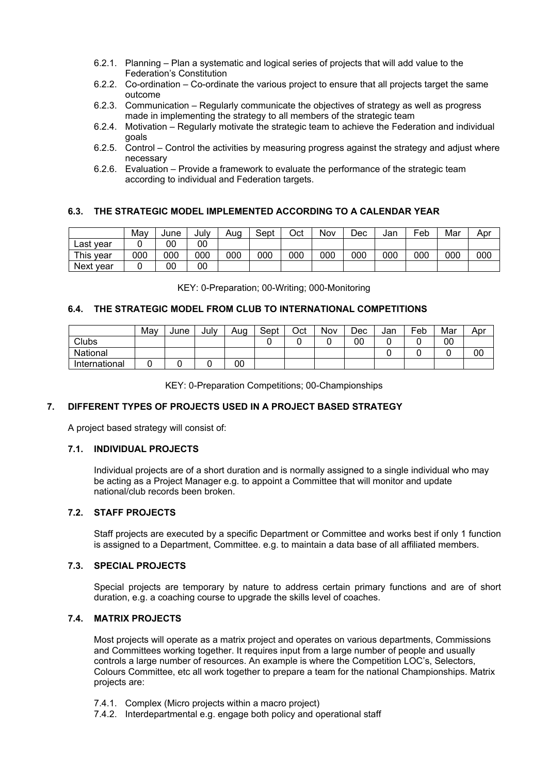- 6.2.1. Planning Plan a systematic and logical series of projects that will add value to the Federation's Constitution
- 6.2.2. Co-ordination Co-ordinate the various project to ensure that all projects target the same outcome
- 6.2.3. Communication Regularly communicate the objectives of strategy as well as progress made in implementing the strategy to all members of the strategic team
- 6.2.4. Motivation Regularly motivate the strategic team to achieve the Federation and individual goals
- 6.2.5. Control Control the activities by measuring progress against the strategy and adjust where necessary
- 6.2.6. Evaluation Provide a framework to evaluate the performance of the strategic team according to individual and Federation targets.

## **6.3. THE STRATEGIC MODEL IMPLEMENTED ACCORDING TO A CALENDAR YEAR**

|              | Mav | June | July | Aua | Sept | Oct | Nov | Dec | Jan | Feb | Mar | Apr |
|--------------|-----|------|------|-----|------|-----|-----|-----|-----|-----|-----|-----|
| Last<br>vear |     | 00   | 00   |     |      |     |     |     |     |     |     |     |
| This<br>vear | 000 | 000  | 000  | 000 | 000  | 000 | 000 | 000 | 000 | 000 | 000 | 000 |
| Next year    |     | 00   | 00   |     |      |     |     |     |     |     |     |     |

KEY: 0-Preparation; 00-Writing; 000-Monitoring

#### **6.4. THE STRATEGIC MODEL FROM CLUB TO INTERNATIONAL COMPETITIONS**

|               | May | June | July | Aug | Sept | Oct | Nov | Dec | Jan | $\mathsf{e}_{\mathsf{e}_{\mathsf{b}}}$ | Mar | Apr |
|---------------|-----|------|------|-----|------|-----|-----|-----|-----|----------------------------------------|-----|-----|
| Clubs         |     |      |      |     |      |     |     | 00  |     |                                        | 00  |     |
| National      |     |      |      |     |      |     |     |     |     |                                        |     | 00  |
| International |     |      |      | 00  |      |     |     |     |     |                                        |     |     |

KEY: 0-Preparation Competitions; 00-Championships

#### **7. DIFFERENT TYPES OF PROJECTS USED IN A PROJECT BASED STRATEGY**

A project based strategy will consist of:

#### **7.1. INDIVIDUAL PROJECTS**

Individual projects are of a short duration and is normally assigned to a single individual who may be acting as a Project Manager e.g. to appoint a Committee that will monitor and update national/club records been broken.

#### **7.2. STAFF PROJECTS**

Staff projects are executed by a specific Department or Committee and works best if only 1 function is assigned to a Department, Committee. e.g. to maintain a data base of all affiliated members.

#### **7.3. SPECIAL PROJECTS**

Special projects are temporary by nature to address certain primary functions and are of short duration, e.g. a coaching course to upgrade the skills level of coaches.

#### **7.4. MATRIX PROJECTS**

Most projects will operate as a matrix project and operates on various departments, Commissions and Committees working together. It requires input from a large number of people and usually controls a large number of resources. An example is where the Competition LOC's, Selectors, Colours Committee, etc all work together to prepare a team for the national Championships. Matrix projects are:

- 7.4.1. Complex (Micro projects within a macro project)
- 7.4.2. Interdepartmental e.g. engage both policy and operational staff